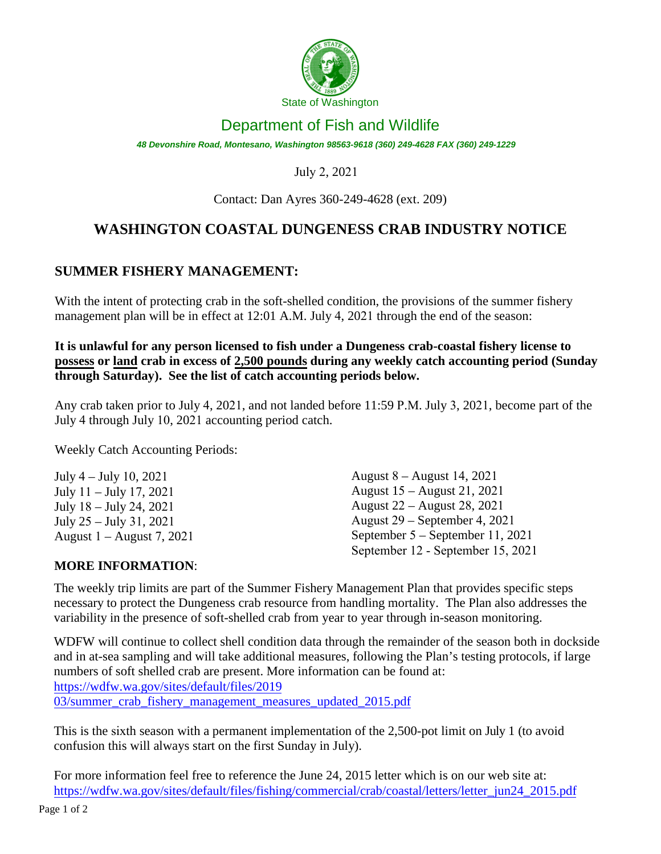

## Department of Fish and Wildlife

*48 Devonshire Road, Montesano, Washington 98563-9618 (360) 249-4628 FAX (360) 249-1229* 

## July 2, 2021

Contact: Dan Ayres 360-249-4628 (ext. 209)

# **WASHINGTON COASTAL DUNGENESS CRAB INDUSTRY NOTICE**

## **SUMMER FISHERY MANAGEMENT:**

With the intent of protecting crab in the soft-shelled condition, the provisions of the summer fishery management plan will be in effect at 12:01 A.M. July 4, 2021 through the end of the season:

**It is unlawful for any person licensed to fish under a Dungeness crab-coastal fishery license to possess or land crab in excess of 2,500 pounds during any weekly catch accounting period (Sunday through Saturday). See the list of catch accounting periods below.** 

Any crab taken prior to July 4, 2021, and not landed before 11:59 P.M. July 3, 2021, become part of the July 4 through July 10, 2021 accounting period catch.

Weekly Catch Accounting Periods:

| July $4 -$ July 10, 2021  | August $8 -$ August 14, 2021       |
|---------------------------|------------------------------------|
| July $11 -$ July 17, 2021 | August 15 – August 21, 2021        |
| July $18 -$ July 24, 2021 | August 22 – August 28, 2021        |
| July $25 -$ July 31, 2021 | August $29$ – September 4, 2021    |
| August 1 – August 7, 2021 | September $5 -$ September 11, 2021 |
|                           | September 12 - September 15, 2021  |

#### **MORE INFORMATION**:

The weekly trip limits are part of the Summer Fishery Management Plan that provides specific steps necessary to protect the Dungeness crab resource from handling mortality. The Plan also addresses the variability in the presence of soft-shelled crab from year to year through in-season monitoring.

WDFW will continue to collect shell condition data through the remainder of the season both in dockside and in at-sea sampling and will take additional measures, following the Plan's testing protocols, if large numbers of soft shelled crab are present. More information can be found at: https://wdfw.wa.gov/sites/default/files/2019 03/summer\_crab\_fishery\_management\_measures\_updated\_2015.pdf

This is the sixth season with a permanent implementation of the 2,500-pot limit on July 1 (to avoid confusion this will always start on the first Sunday in July).

For more information feel free to reference the June 24, 2015 letter which is on our web site at: https://wdfw.wa.gov/sites/default/files/fishing/commercial/crab/coastal/letters/letter\_jun24\_2015.pdf